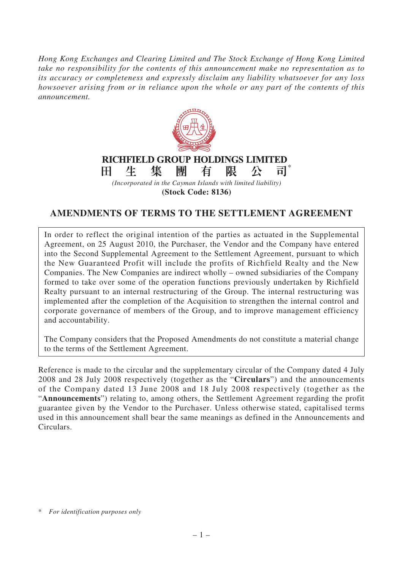*Hong Kong Exchanges and Clearing Limited and The Stock Exchange of Hong Kong Limited take no responsibility for the contents of this announcement make no representation as to its accuracy or completeness and expressly disclaim any liability whatsoever for any loss howsoever arising from or in reliance upon the whole or any part of the contents of this announcement.*



**(Stock Code: 8136)**

## **AMENDMENTS OF TERMS TO THE SETTLEMENT AGREEMENT**

In order to reflect the original intention of the parties as actuated in the Supplemental Agreement, on 25 August 2010, the Purchaser, the Vendor and the Company have entered into the Second Supplemental Agreement to the Settlement Agreement, pursuant to which the New Guaranteed Profit will include the profits of Richfield Realty and the New Companies. The New Companies are indirect wholly – owned subsidiaries of the Company formed to take over some of the operation functions previously undertaken by Richfield Realty pursuant to an internal restructuring of the Group. The internal restructuring was implemented after the completion of the Acquisition to strengthen the internal control and corporate governance of members of the Group, and to improve management efficiency and accountability.

The Company considers that the Proposed Amendments do not constitute a material change to the terms of the Settlement Agreement.

Reference is made to the circular and the supplementary circular of the Company dated 4 July 2008 and 28 July 2008 respectively (together as the "**Circulars**") and the announcements of the Company dated 13 June 2008 and 18 July 2008 respectively (together as the "**Announcements**") relating to, among others, the Settlement Agreement regarding the profit guarantee given by the Vendor to the Purchaser. Unless otherwise stated, capitalised terms used in this announcement shall bear the same meanings as defined in the Announcements and Circulars.

<sup>\*</sup> *For identification purposes only*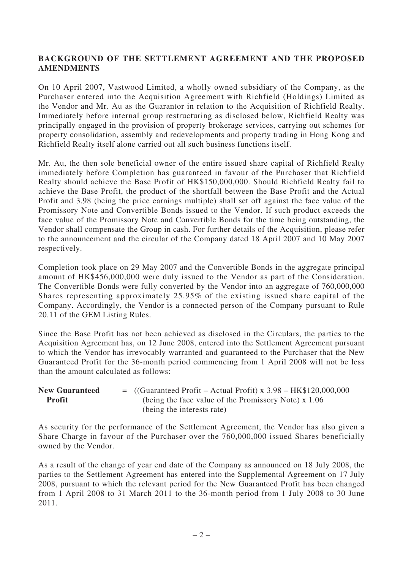## **BACKGROUND OF THE SETTLEMENT AGREEMENT AND THE PROPOSED AMENDMENTS**

On 10 April 2007, Vastwood Limited, a wholly owned subsidiary of the Company, as the Purchaser entered into the Acquisition Agreement with Richfield (Holdings) Limited as the Vendor and Mr. Au as the Guarantor in relation to the Acquisition of Richfield Realty. Immediately before internal group restructuring as disclosed below, Richfield Realty was principally engaged in the provision of property brokerage services, carrying out schemes for property consolidation, assembly and redevelopments and property trading in Hong Kong and Richfield Realty itself alone carried out all such business functions itself.

Mr. Au, the then sole beneficial owner of the entire issued share capital of Richfield Realty immediately before Completion has guaranteed in favour of the Purchaser that Richfield Realty should achieve the Base Profit of HK\$150,000,000. Should Richfield Realty fail to achieve the Base Profit, the product of the shortfall between the Base Profit and the Actual Profit and 3.98 (being the price earnings multiple) shall set off against the face value of the Promissory Note and Convertible Bonds issued to the Vendor. If such product exceeds the face value of the Promissory Note and Convertible Bonds for the time being outstanding, the Vendor shall compensate the Group in cash. For further details of the Acquisition, please refer to the announcement and the circular of the Company dated 18 April 2007 and 10 May 2007 respectively.

Completion took place on 29 May 2007 and the Convertible Bonds in the aggregate principal amount of HK\$456,000,000 were duly issued to the Vendor as part of the Consideration. The Convertible Bonds were fully converted by the Vendor into an aggregate of 760,000,000 Shares representing approximately 25.95% of the existing issued share capital of the Company. Accordingly, the Vendor is a connected person of the Company pursuant to Rule 20.11 of the GEM Listing Rules.

Since the Base Profit has not been achieved as disclosed in the Circulars, the parties to the Acquisition Agreement has, on 12 June 2008, entered into the Settlement Agreement pursuant to which the Vendor has irrevocably warranted and guaranteed to the Purchaser that the New Guaranteed Profit for the 36-month period commencing from 1 April 2008 will not be less than the amount calculated as follows:

| <b>New Guaranteed</b> | $=$ ((Guaranteed Profit – Actual Profit) x 3.98 – HK\$120,000,000 |
|-----------------------|-------------------------------------------------------------------|
| <b>Profit</b>         | (being the face value of the Promissory Note) x 1.06              |
|                       | (being the interests rate)                                        |

As security for the performance of the Settlement Agreement, the Vendor has also given a Share Charge in favour of the Purchaser over the 760,000,000 issued Shares beneficially owned by the Vendor.

As a result of the change of year end date of the Company as announced on 18 July 2008, the parties to the Settlement Agreement has entered into the Supplemental Agreement on 17 July 2008, pursuant to which the relevant period for the New Guaranteed Profit has been changed from 1 April 2008 to 31 March 2011 to the 36-month period from 1 July 2008 to 30 June 2011.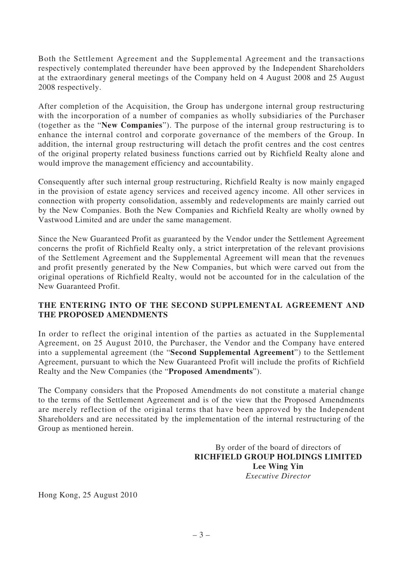Both the Settlement Agreement and the Supplemental Agreement and the transactions respectively contemplated thereunder have been approved by the Independent Shareholders at the extraordinary general meetings of the Company held on 4 August 2008 and 25 August 2008 respectively.

After completion of the Acquisition, the Group has undergone internal group restructuring with the incorporation of a number of companies as wholly subsidiaries of the Purchaser (together as the "**New Companies**"). The purpose of the internal group restructuring is to enhance the internal control and corporate governance of the members of the Group. In addition, the internal group restructuring will detach the profit centres and the cost centres of the original property related business functions carried out by Richfield Realty alone and would improve the management efficiency and accountability.

Consequently after such internal group restructuring, Richfield Realty is now mainly engaged in the provision of estate agency services and received agency income. All other services in connection with property consolidation, assembly and redevelopments are mainly carried out by the New Companies. Both the New Companies and Richfield Realty are wholly owned by Vastwood Limited and are under the same management.

Since the New Guaranteed Profit as guaranteed by the Vendor under the Settlement Agreement concerns the profit of Richfield Realty only, a strict interpretation of the relevant provisions of the Settlement Agreement and the Supplemental Agreement will mean that the revenues and profit presently generated by the New Companies, but which were carved out from the original operations of Richfield Realty, would not be accounted for in the calculation of the New Guaranteed Profit.

## **THE ENTERING INTO OF THE SECOND SUPPLEMENTAL AGREEMENT AND THE PROPOSED AMENDMENTS**

In order to reflect the original intention of the parties as actuated in the Supplemental Agreement, on 25 August 2010, the Purchaser, the Vendor and the Company have entered into a supplemental agreement (the "**Second Supplemental Agreement**") to the Settlement Agreement, pursuant to which the New Guaranteed Profit will include the profits of Richfield Realty and the New Companies (the "**Proposed Amendments**").

The Company considers that the Proposed Amendments do not constitute a material change to the terms of the Settlement Agreement and is of the view that the Proposed Amendments are merely reflection of the original terms that have been approved by the Independent Shareholders and are necessitated by the implementation of the internal restructuring of the Group as mentioned herein.

> By order of the board of directors of **RICHFIELD GROUP HOLDINGS LIMITED Lee Wing Yin** *Executive Director*

Hong Kong, 25 August 2010